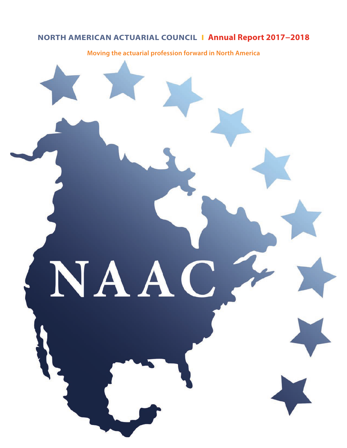# **NORTH AMERICAN ACTUARIAL COUNCIL I Annual Report 2017−2018**

**Moving the actuarial profession forward in North America**

 $\blacksquare$ 

NAA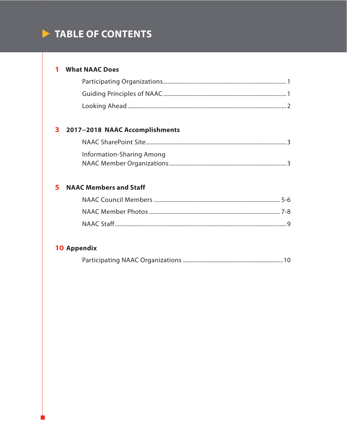# TABLE OF CONTENTS

# 1 What NAAC Does

# 3 2017-2018 NAAC Accomplishments

| Information-Sharing Among |
|---------------------------|
|                           |

# **5** NAAC Members and Staff

# 10 Appendix

|--|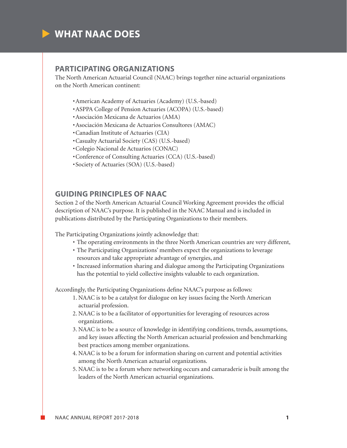

### **PARTICIPATING ORGANIZATIONS**

The North American Actuarial Council (NAAC) brings together nine actuarial organizations on the North American continent:

- •American Academy of Actuaries (Academy) (U.S.-based)
- •ASPPA College of Pension Actuaries (ACOPA) (U.S.-based)
- •Asociación Mexicana de Actuarios (AMA)
- •Asociación Mexicana de Actuarios Consultores (AMAC)
- •Canadian Institute of Actuaries (CIA)
- •Casualty Actuarial Society (CAS) (U.S.-based)
- •Colegio Nacional de Actuarios (CONAC)
- •Conference of Consulting Actuaries (CCA) (U.S.-based)
- •Society of Actuaries (SOA) (U.S.-based)

## **GUIDING PRINCIPLES OF NAAC**

Section 2 of the North American Actuarial Council Working Agreement provides the official description of NAAC's purpose. It is published in the NAAC Manual and is included in publications distributed by the Participating Organizations to their members.

The Participating Organizations jointly acknowledge that:

- The operating environments in the three North American countries are very different,
- The Participating Organizations' members expect the organizations to leverage resources and take appropriate advantage of synergies, and
- Increased information sharing and dialogue among the Participating Organizations has the potential to yield collective insights valuable to each organization.

Accordingly, the Participating Organizations define NAAC's purpose as follows:

- 1. NAAC is to be a catalyst for dialogue on key issues facing the North American actuarial profession.
- 2. NAAC is to be a facilitator of opportunities for leveraging of resources across organizations.
- 3. NAAC is to be a source of knowledge in identifying conditions, trends, assumptions, and key issues affecting the North American actuarial profession and benchmarking best practices among member organizations.
- 4. NAAC is to be a forum for information sharing on current and potential activities among the North American actuarial organizations.
- 5. NAAC is to be a forum where networking occurs and camaraderie is built among the leaders of the North American actuarial organizations.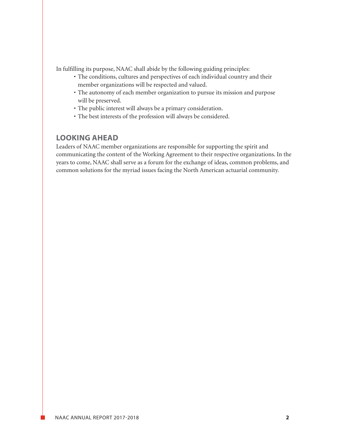In fulfilling its purpose, NAAC shall abide by the following guiding principles:

- The conditions, cultures and perspectives of each individual country and their member organizations will be respected and valued.
- The autonomy of each member organization to pursue its mission and purpose will be preserved.
- The public interest will always be a primary consideration.
- The best interests of the profession will always be considered.

# **LOOKING AHEAD**

Leaders of NAAC member organizations are responsible for supporting the spirit and communicating the content of the Working Agreement to their respective organizations. In the years to come, NAAC shall serve as a forum for the exchange of ideas, common problems, and common solutions for the myriad issues facing the North American actuarial community.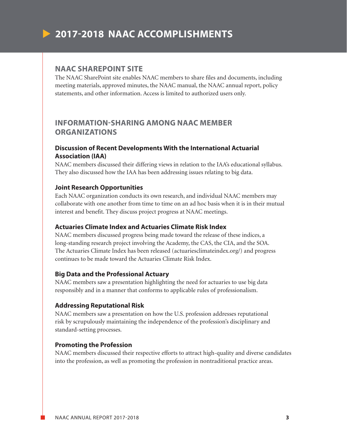# **2017-2018 NAAC ACCOMPLISHMENTS**

### **NAAC SHAREPOINT SITE**

The NAAC SharePoint site enables NAAC members to share files and documents, including meeting materials, approved minutes, the NAAC manual, the NAAC annual report, policy statements, and other information. Access is limited to authorized users only.

# **INFORMATION-SHARING AMONG NAAC MEMBER ORGANIZATIONS**

### **Discussion of Recent Developments With the International Actuarial Association (IAA)**

NAAC members discussed their differing views in relation to the IAA's educational syllabus. They also discussed how the IAA has been addressing issues relating to big data.

### **Joint Research Opportunities**

Each NAAC organization conducts its own research, and individual NAAC members may collaborate with one another from time to time on an ad hoc basis when it is in their mutual interest and benefit. They discuss project progress at NAAC meetings.

### **Actuaries Climate Index and Actuaries Climate Risk Index**

NAAC members discussed progress being made toward the release of these indices, a long-standing research project involving the Academy, the CAS, the CIA, and the SOA. The Actuaries Climate Index has been released [\(actuariesclimateindex.org/\)](http://actuariesclimateindex.org/) and progress continues to be made toward the Actuaries Climate Risk Index.

### **Big Data and the Professional Actuary**

NAAC members saw a presentation highlighting the need for actuaries to use big data responsibly and in a manner that conforms to applicable rules of professionalism.

### **Addressing Reputational Risk**

NAAC members saw a presentation on how the U.S. profession addresses reputational risk by scrupulously maintaining the independence of the profession's disciplinary and standard-setting processes.

### **Promoting the Profession**

NAAC members discussed their respective efforts to attract high-quality and diverse candidates into the profession, as well as promoting the profession in nontraditional practice areas.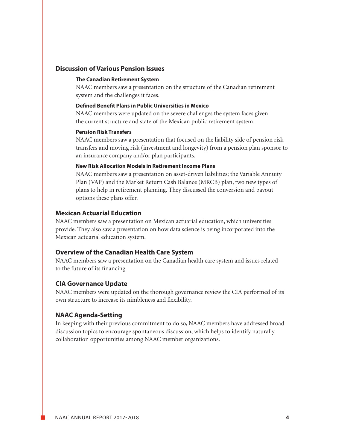### **Discussion of Various Pension Issues**

#### **The Canadian Retirement System**

 NAAC members saw a presentation on the structure of the Canadian retirement system and the challenges it faces.

#### **Defined Benefit Plans in Public Universities in Mexico**

 NAAC members were updated on the severe challenges the system faces given the current structure and state of the Mexican public retirement system.

### **Pension Risk Transfers**

 NAAC members saw a presentation that focused on the liability side of pension risk transfers and moving risk (investment and longevity) from a pension plan sponsor to an insurance company and/or plan participants.

### **New Risk Allocation Models in Retirement Income Plans**

 NAAC members saw a presentation on asset-driven liabilities; the Variable Annuity Plan (VAP) and the Market Return Cash Balance (MRCB) plan, two new types of plans to help in retirement planning. They discussed the conversion and payout options these plans offer.

### **Mexican Actuarial Education**

NAAC members saw a presentation on Mexican actuarial education, which universities provide. They also saw a presentation on how data science is being incorporated into the Mexican actuarial education system.

### **Overview of the Canadian Health Care System**

NAAC members saw a presentation on the Canadian health care system and issues related to the future of its financing.

### **CIA Governance Update**

NAAC members were updated on the thorough governance review the CIA performed of its own structure to increase its nimbleness and flexibility.

### **NAAC Agenda-Setting**

In keeping with their previous commitment to do so, NAAC members have addressed broad discussion topics to encourage spontaneous discussion, which helps to identify naturally collaboration opportunities among NAAC member organizations.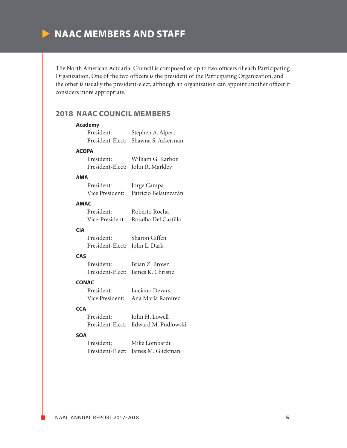

The North American Actuarial Council is composed of up to two officers of each Participating Organization. One of the two officers is the president of the Participating Organization, and the other is usually the president-elect, although an organization can appoint another officer it considers more appropriate.

# **2018 NAAC COUNCIL MEMBERS**

|            | <b>Academy</b>                |                                      |
|------------|-------------------------------|--------------------------------------|
|            |                               | President: Stephen A. Alpert         |
|            |                               | President-Elect: Shawna S. Ackerman  |
|            | <b>ACOPA</b>                  |                                      |
|            | President:                    | William G. Karbon                    |
|            |                               | President-Elect: John R. Markley     |
| AMA        |                               |                                      |
|            | President:                    | Jorge Campa                          |
|            |                               | Vice President: Patricio Belaunzarán |
|            | <b>AMAC</b>                   |                                      |
|            | President:                    | Roberto Rocha                        |
|            |                               | Vice-President: Rosalba Del Castillo |
| <b>CIA</b> |                               |                                      |
|            | President: Sharon Giffen      |                                      |
|            | President-Elect: John L. Dark |                                      |
| <b>CAS</b> |                               |                                      |
|            | President:                    | Brian Z. Brown                       |
|            |                               | President-Elect: James K. Christie   |
|            | <b>CONAC</b>                  |                                      |
|            | President:                    | Luciano Devars                       |
|            |                               | Vice President: Ana María Ramírez    |
| <b>CCA</b> |                               |                                      |
|            | President:                    | John H. Lowell                       |
|            |                               | President-Elect: Edward M. Pudlowski |
| <b>SOA</b> |                               |                                      |
|            | President:                    | Mike Lombardi                        |
|            | President-Elect:              | James M. Glickman                    |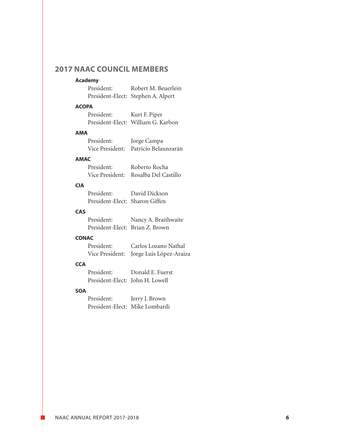# **2017 NAAC COUNCIL MEMBERS**

### **Academy**

| <b>Urancilla</b> |            |                                    |
|------------------|------------|------------------------------------|
|                  | President: | Robert M. Beuerlein                |
|                  |            | President-Elect: Stephen A. Alpert |

### **ACOPA**

| President: | Kurt F. Piper                      |
|------------|------------------------------------|
|            | President-Elect: William G. Karbon |

#### **AMA**

| President: | Jorge Campa                          |
|------------|--------------------------------------|
|            | Vice President: Patricio Belaunzarán |

### **AMAC**

| President: | Roberto Rocha                        |
|------------|--------------------------------------|
|            | Vice President: Rosalba Del Castillo |

### **CIA**

| President:                     | David Dickson |
|--------------------------------|---------------|
| President-Elect: Sharon Giffen |               |

# CAS<br><sup>Droside</sup>

| <b>LAS</b> |                                 |                      |
|------------|---------------------------------|----------------------|
|            | President:                      | Nancy A. Braithwaite |
|            | President-Elect: Brian Z. Brown |                      |

### **CONAC**

| President: | Carlos Lozano Nathal                    |
|------------|-----------------------------------------|
|            | Vice President: Jorge Luis López-Araiza |

# **CCA**

| <b>CCA</b> |                                 |                  |
|------------|---------------------------------|------------------|
|            | President:                      | Donald E. Fuerst |
|            | President-Elect: John H. Lowell |                  |

#### **SOA**

| President:                     | Jerry J. Brown |
|--------------------------------|----------------|
| President-Elect: Mike Lombardi |                |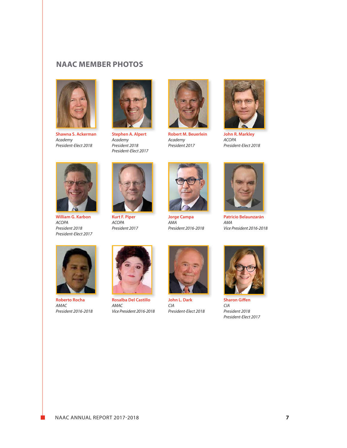# **NAAC MEMBER PHOTOS**



**Shawna S. Ackerman** *Academy President-Elect 2018*



**Stephen A. Alpert** *Academy President 2018 President-Elect 2017*



**Robert M. Beuerlein** *Academy President 2017*



**John R. Markley** *ACOPA President-Elect 2018*



**William G. Karbon** *ACOPA President 2018 President-Elect 2017*



**Kurt F. Piper** *ACOPA President 2017*



**Jorge Campa** *AMA President 2016-2018*



**Patricio Belaunzarán** *AMA Vice President 2016-2018*



**Roberto Rocha** *AMAC President 2016-2018*



**Rosalba Del Castillo** *AMAC Vice President 2016-2018*



**John L. Dark** *CIA President-Elect 2018*



**Sharon Giffen** *CIA President 2018 President-Elect 2017*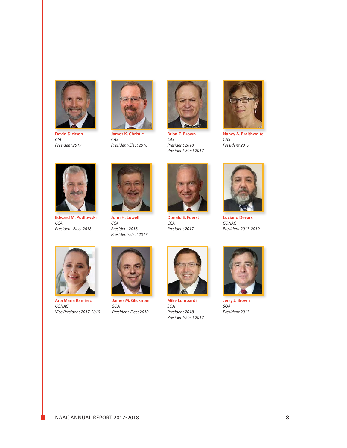

**David Dickson** *CIA President 2017*



**James K. Christie** *CAS President-Elect 2018*



**Brian Z. Brown** *CAS President 2018 President-Elect 2017*



**Nancy A. Braithwaite** *CAS President 2017*



**Edward M. Pudlowski** *CCA President-Elect 2018*



**John H. Lowell** *CCA President 2018 President-Elect 2017*



**Donald E. Fuerst** *CCA President 2017*



**Luciano Devars** *CONAC President 2017-2019*



**Ana María Ramírez** *CONAC Vice President 2017-2019*



**James M. Glickman** *SOA President-Elect 2018*



**Mike Lombardi** *SOA President 2018 President-Elect 2017*



**Jerry J. Brown** *SOA President 2017*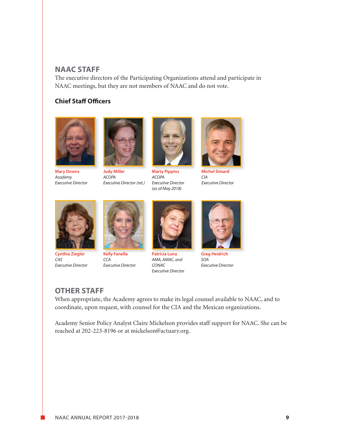## **NAAC STAFF**

The executive directors of the Participating Organizations attend and participate in NAAC meetings, but they are not members of NAAC and do not vote.

# **Chief Staff Officers**



**Mary Downs** *Academy Executive Director*



**Judy Miller** *ACOPA Executive Director (ret.)*



**Marty Pippins** *ACOPA Executive Director (as of May 2018)*



**Michel Simard** *CIA Executive Director*



**Cynthia Ziegler** *CAS Executive Director*



*CCA Executive Director*



**Patricia Luna** *AMA, AMAC, and CONAC Executive Director*



**Greg Heidrich** *SOA Executive Director*

# **OTHER STAFF**

When appropriate, the Academy agrees to make its legal counsel available to NAAC, and to coordinate, upon request, with counsel for the CIA and the Mexican organizations.

Academy Senior Policy Analyst Claire Mickelson provides staff support for NAAC. She can be reached at 202-223-8196 or at mickelson@actuary.org.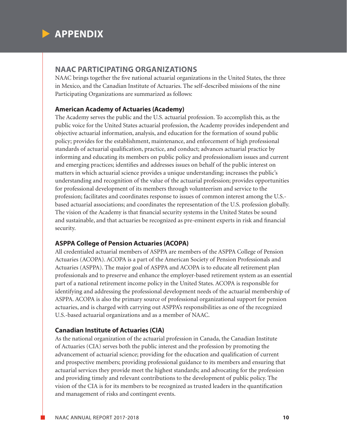

### **NAAC PARTICIPATING ORGANIZATIONS**

NAAC brings together the five national actuarial organizations in the United States, the three in Mexico, and the Canadian Institute of Actuaries. The self-described missions of the nine Participating Organizations are summarized as follows:

### **American Academy of Actuaries (Academy)**

The Academy serves the public and the U.S. actuarial profession. To accomplish this, as the public voice for the United States actuarial profession, the Academy provides independent and objective actuarial information, analysis, and education for the formation of sound public policy; provides for the establishment, maintenance, and enforcement of high professional standards of actuarial qualification, practice, and conduct; advances actuarial practice by informing and educating its members on public policy and professionalism issues and current and emerging practices; identifies and addresses issues on behalf of the public interest on matters in which actuarial science provides a unique understanding; increases the public's understanding and recognition of the value of the actuarial profession; provides opportunities for professional development of its members through volunteerism and service to the profession; facilitates and coordinates response to issues of common interest among the U.S. based actuarial associations; and coordinates the representation of the U.S. profession globally. The vision of the Academy is that financial security systems in the United States be sound and sustainable, and that actuaries be recognized as pre-eminent experts in risk and financial security.

### **ASPPA College of Pension Actuaries (ACOPA)**

All credentialed actuarial members of ASPPA are members of the ASPPA College of Pension Actuaries (ACOPA). ACOPA is a part of the American Society of Pension Professionals and Actuaries (ASPPA). The major goal of ASPPA and ACOPA is to educate all retirement plan professionals and to preserve and enhance the employer-based retirement system as an essential part of a national retirement income policy in the United States. ACOPA is responsible for identifying and addressing the professional development needs of the actuarial membership of ASPPA. ACOPA is also the primary source of professional organizational support for pension actuaries, and is charged with carrying out ASPPA's responsibilities as one of the recognized U.S.-based actuarial organizations and as a member of NAAC.

### **Canadian Institute of Actuaries (CIA)**

As the national organization of the actuarial profession in Canada, the Canadian Institute of Actuaries (CIA) serves both the public interest and the profession by promoting the advancement of actuarial science; providing for the education and qualification of current and prospective members; providing professional guidance to its members and ensuring that actuarial services they provide meet the highest standards; and advocating for the profession and providing timely and relevant contributions to the development of public policy. The vision of the CIA is for its members to be recognized as trusted leaders in the quantification and management of risks and contingent events.